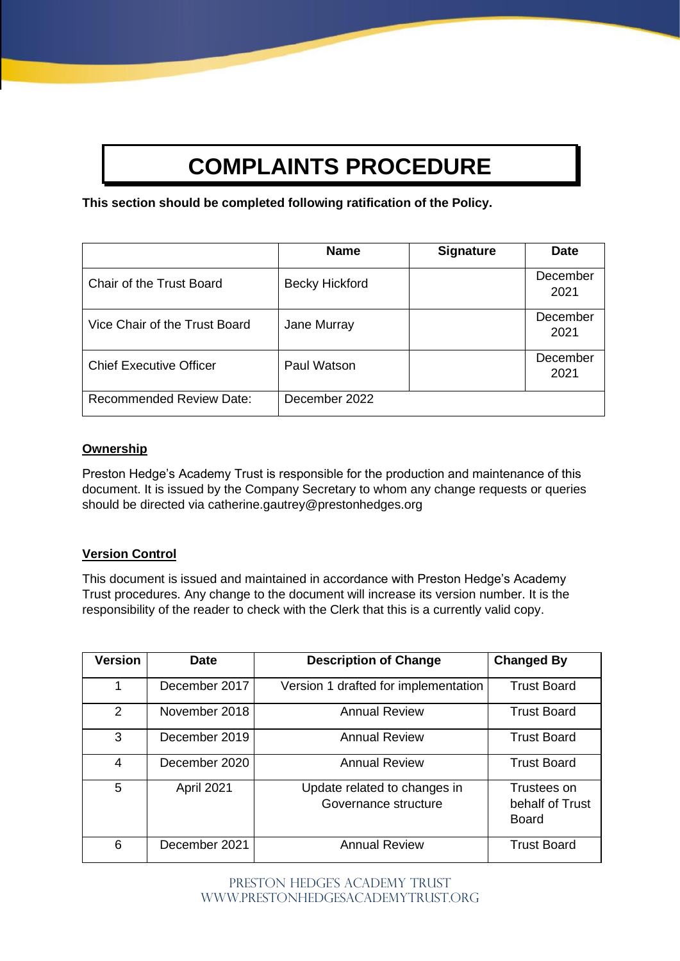# **COMPLAINTS PROCEDURE**

**This section should be completed following ratification of the Policy.**

|                                 | <b>Name</b>           | <b>Signature</b> | <b>Date</b>      |
|---------------------------------|-----------------------|------------------|------------------|
| Chair of the Trust Board        | <b>Becky Hickford</b> |                  | December<br>2021 |
| Vice Chair of the Trust Board   | Jane Murray           |                  | December<br>2021 |
| <b>Chief Executive Officer</b>  | Paul Watson           |                  | December<br>2021 |
| <b>Recommended Review Date:</b> | December 2022         |                  |                  |

# **Ownership**

Preston Hedge's Academy Trust is responsible for the production and maintenance of this document. It is issued by the Company Secretary to whom any change requests or queries should be directed via catherine.gautrey@prestonhedges.org

# **Version Control**

This document is issued and maintained in accordance with Preston Hedge's Academy Trust procedures. Any change to the document will increase its version number. It is the responsibility of the reader to check with the Clerk that this is a currently valid copy.

| <b>Version</b> | <b>Date</b>   | <b>Description of Change</b>                         | <b>Changed By</b>                              |
|----------------|---------------|------------------------------------------------------|------------------------------------------------|
| 1              | December 2017 | Version 1 drafted for implementation                 | <b>Trust Board</b>                             |
| 2              | November 2018 | <b>Annual Review</b>                                 | <b>Trust Board</b>                             |
| 3              | December 2019 | <b>Annual Review</b>                                 | <b>Trust Board</b>                             |
| 4              | December 2020 | <b>Annual Review</b>                                 | <b>Trust Board</b>                             |
| 5              | April 2021    | Update related to changes in<br>Governance structure | Trustees on<br>behalf of Trust<br><b>Board</b> |
| 6              | December 2021 | <b>Annual Review</b><br><b>Trust Board</b>           |                                                |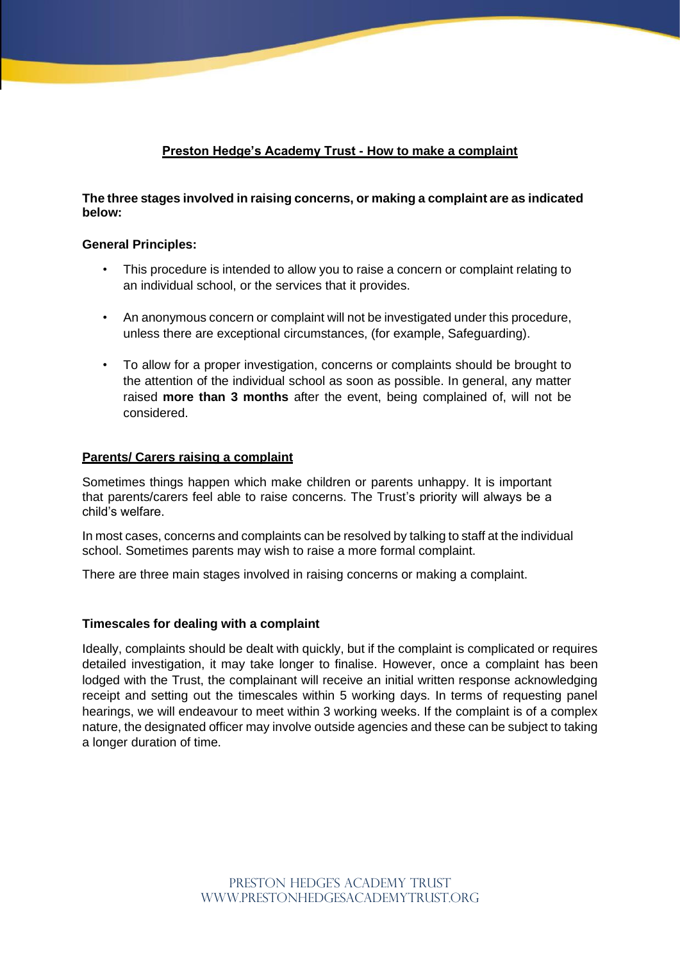# **Preston Hedge's Academy Trust - How to make a complaint**

# **The three stages involved in raising concerns, or making a complaint are as indicated below:**

## **General Principles:**

- This procedure is intended to allow you to raise a concern or complaint relating to an individual school, or the services that it provides.
- An anonymous concern or complaint will not be investigated under this procedure, unless there are exceptional circumstances, (for example, Safeguarding).
- To allow for a proper investigation, concerns or complaints should be brought to the attention of the individual school as soon as possible. In general, any matter raised **more than 3 months** after the event, being complained of, will not be considered.

#### **Parents/ Carers raising a complaint**

Sometimes things happen which make children or parents unhappy. It is important that parents/carers feel able to raise concerns. The Trust's priority will always be a child's welfare.

In most cases, concerns and complaints can be resolved by talking to staff at the individual school. Sometimes parents may wish to raise a more formal complaint.

There are three main stages involved in raising concerns or making a complaint.

## **Timescales for dealing with a complaint**

Ideally, complaints should be dealt with quickly, but if the complaint is complicated or requires detailed investigation, it may take longer to finalise. However, once a complaint has been lodged with the Trust, the complainant will receive an initial written response acknowledging receipt and setting out the timescales within 5 working days. In terms of requesting panel hearings, we will endeavour to meet within 3 working weeks. If the complaint is of a complex nature, the designated officer may involve outside agencies and these can be subject to taking a longer duration of time.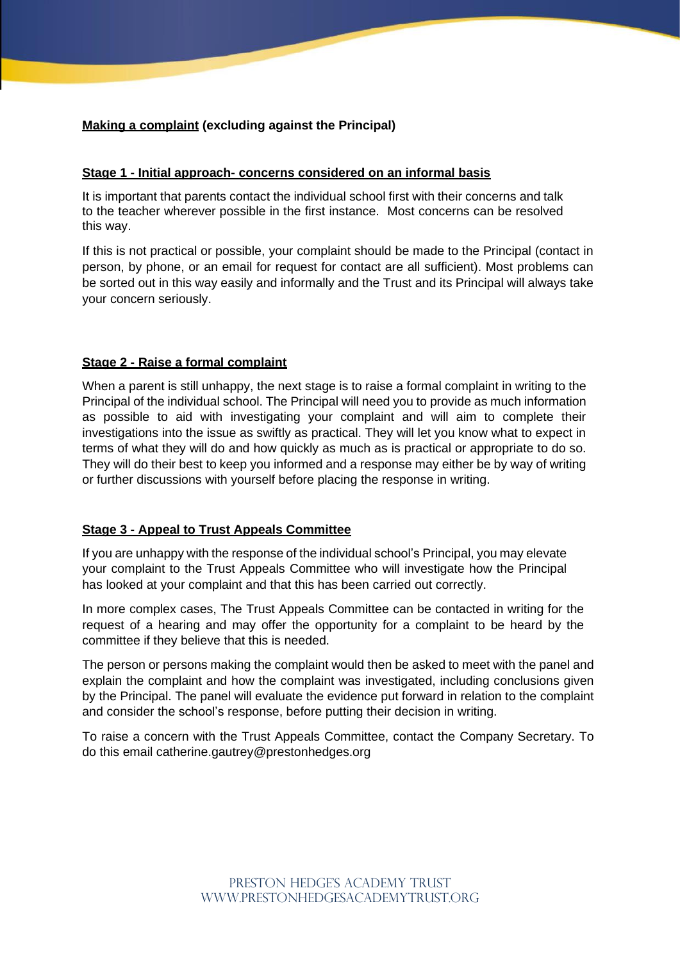# **Making a complaint (excluding against the Principal)**

#### **Stage 1 - Initial approach- concerns considered on an informal basis**

It is important that parents contact the individual school first with their concerns and talk to the teacher wherever possible in the first instance. Most concerns can be resolved this way.

If this is not practical or possible, your complaint should be made to the Principal (contact in person, by phone, or an email for request for contact are all sufficient). Most problems can be sorted out in this way easily and informally and the Trust and its Principal will always take your concern seriously.

#### **Stage 2 - Raise a formal complaint**

When a parent is still unhappy, the next stage is to raise a formal complaint in writing to the Principal of the individual school. The Principal will need you to provide as much information as possible to aid with investigating your complaint and will aim to complete their investigations into the issue as swiftly as practical. They will let you know what to expect in terms of what they will do and how quickly as much as is practical or appropriate to do so. They will do their best to keep you informed and a response may either be by way of writing or further discussions with yourself before placing the response in writing.

#### **Stage 3 - Appeal to Trust Appeals Committee**

If you are unhappy with the response of the individual school's Principal, you may elevate your complaint to the Trust Appeals Committee who will investigate how the Principal has looked at your complaint and that this has been carried out correctly.

In more complex cases, The Trust Appeals Committee can be contacted in writing for the request of a hearing and may offer the opportunity for a complaint to be heard by the committee if they believe that this is needed.

The person or persons making the complaint would then be asked to meet with the panel and explain the complaint and how the complaint was investigated, including conclusions given by the Principal. The panel will evaluate the evidence put forward in relation to the complaint and consider the school's response, before putting their decision in writing.

To raise a concern with the Trust Appeals Committee, contact the Company Secretary. To do this email catherine.gautrey@prestonhedges.org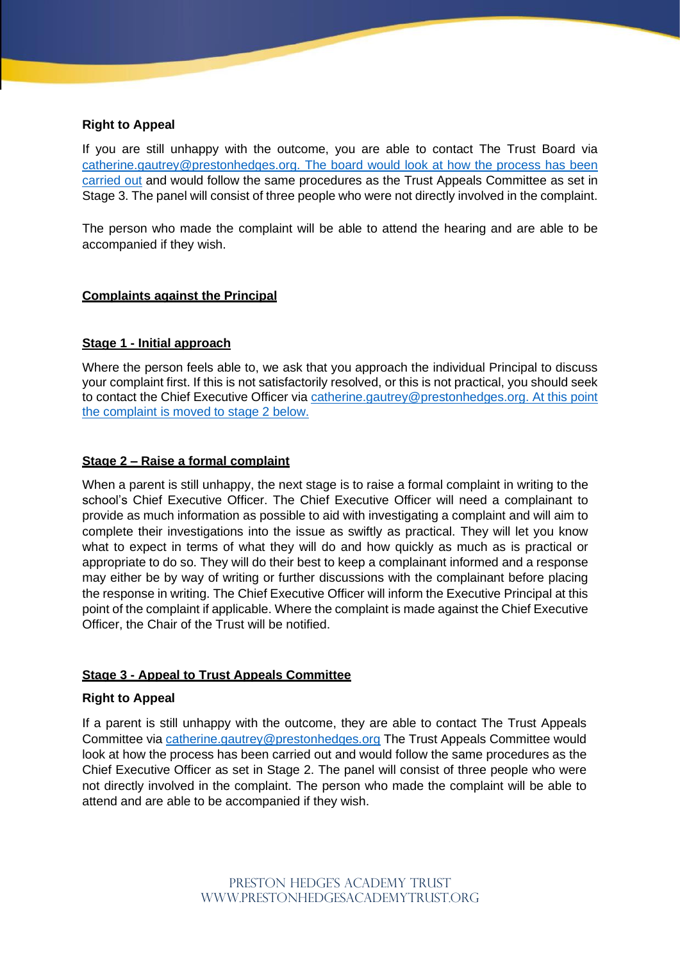# **Right to Appeal**

If you are still unhappy with the outcome, you are able to contact The Trust Board via [catherine.gautrey@prestonhedges.org.](mailto:catherine.gautrey@prestonhedges.org.%20The%20board%20would%20look%20at%20how%20the%20process%20has%20been%20carried%20out) The board would look at how the process has been [carried](mailto:catherine.gautrey@prestonhedges.org.%20The%20board%20would%20look%20at%20how%20the%20process%20has%20been%20carried%20out) out and would follow the same procedures as the Trust Appeals Committee as set in Stage 3. The panel will consist of three people who were not directly involved in the complaint.

The person who made the complaint will be able to attend the hearing and are able to be accompanied if they wish.

## **Complaints against the Principal**

## **Stage 1 - Initial approach**

Where the person feels able to, we ask that you approach the individual Principal to discuss your complaint first. If this is not satisfactorily resolved, or this is not practical, you should seek to contact the Chief Executive Officer via [catherine.gautrey@prestonhedges.org.](mailto:catherine.gautrey@prestonhedges.org) At this point the complaint is moved to stage 2 below.

#### **Stage 2 – Raise a formal complaint**

When a parent is still unhappy, the next stage is to raise a formal complaint in writing to the school's Chief Executive Officer. The Chief Executive Officer will need a complainant to provide as much information as possible to aid with investigating a complaint and will aim to complete their investigations into the issue as swiftly as practical. They will let you know what to expect in terms of what they will do and how quickly as much as is practical or appropriate to do so. They will do their best to keep a complainant informed and a response may either be by way of writing or further discussions with the complainant before placing the response in writing. The Chief Executive Officer will inform the Executive Principal at this point of the complaint if applicable. Where the complaint is made against the Chief Executive Officer, the Chair of the Trust will be notified.

#### **Stage 3 - Appeal to Trust Appeals Committee**

#### **Right to Appeal**

If a parent is still unhappy with the outcome, they are able to contact The Trust Appeals Committee via [catherine.gautrey@prestonhedges.org](mailto:catherine.gautrey@prestonhedges.org) The Trust Appeals Committee would look at how the process has been carried out and would follow the same procedures as the Chief Executive Officer as set in Stage 2. The panel will consist of three people who were not directly involved in the complaint. The person who made the complaint will be able to attend and are able to be accompanied if they wish.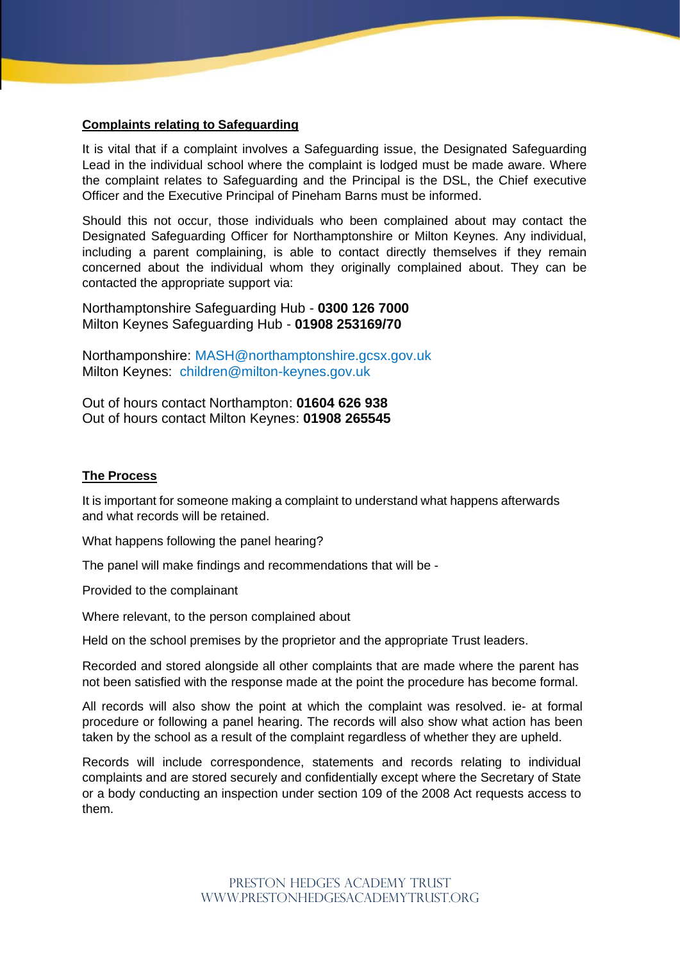## **Complaints relating to Safeguarding**

It is vital that if a complaint involves a Safeguarding issue, the Designated Safeguarding Lead in the individual school where the complaint is lodged must be made aware. Where the complaint relates to Safeguarding and the Principal is the DSL, the Chief executive Officer and the Executive Principal of Pineham Barns must be informed.

Should this not occur, those individuals who been complained about may contact the Designated Safeguarding Officer for Northamptonshire or Milton Keynes. Any individual, including a parent complaining, is able to contact directly themselves if they remain concerned about the individual whom they originally complained about. They can be contacted the appropriate support via:

Northamptonshire Safeguarding Hub - **0300 126 7000** Milton Keynes Safeguarding Hub - **01908 253169/70**

Northamponshire: [MASH@northamptonshire.gcsx.gov.uk](about:blank) Milton Keynes: children@milton-keynes.gov.uk

Out of hours contact Northampton: **01604 626 938**  Out of hours contact Milton Keynes: **01908 265545**

#### **The Process**

It is important for someone making a complaint to understand what happens afterwards and what records will be retained.

What happens following the panel hearing?

The panel will make findings and recommendations that will be -

Provided to the complainant

Where relevant, to the person complained about

Held on the school premises by the proprietor and the appropriate Trust leaders.

Recorded and stored alongside all other complaints that are made where the parent has not been satisfied with the response made at the point the procedure has become formal.

All records will also show the point at which the complaint was resolved. ie- at formal procedure or following a panel hearing. The records will also show what action has been taken by the school as a result of the complaint regardless of whether they are upheld.

Records will include correspondence, statements and records relating to individual complaints and are stored securely and confidentially except where the Secretary of State or a body conducting an inspection under section 109 of the 2008 Act requests access to them.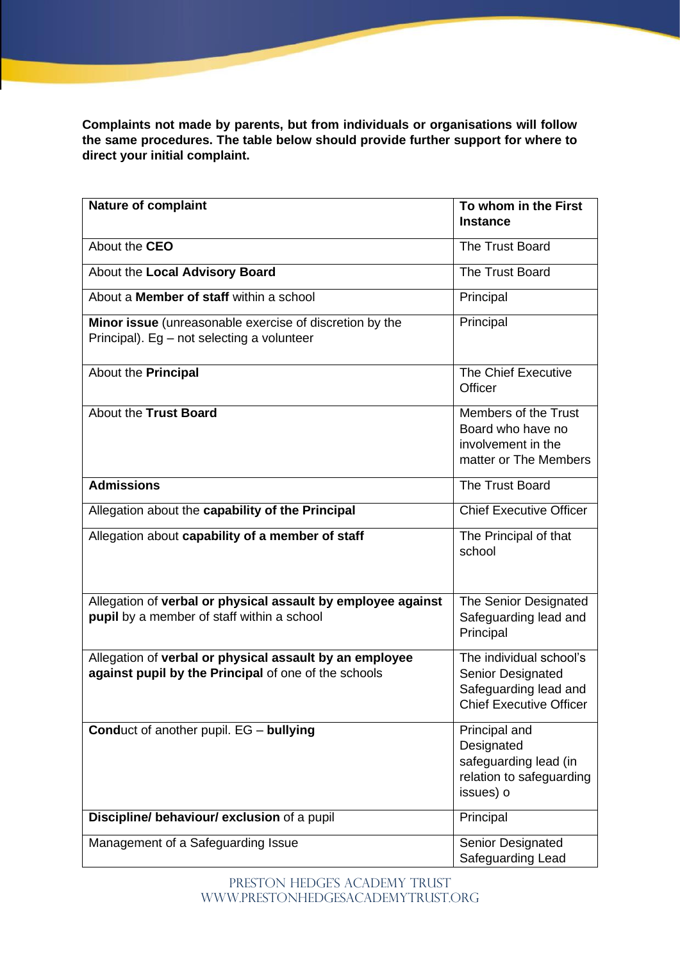**Complaints not made by parents, but from individuals or organisations will follow the same procedures. The table below should provide further support for where to direct your initial complaint.**

| <b>Nature of complaint</b>                                                                                      | To whom in the First<br><b>Instance</b>                                                                 |
|-----------------------------------------------------------------------------------------------------------------|---------------------------------------------------------------------------------------------------------|
| About the CEO                                                                                                   | The Trust Board                                                                                         |
| About the Local Advisory Board                                                                                  | The Trust Board                                                                                         |
| About a <b>Member of staff</b> within a school                                                                  | Principal                                                                                               |
| Minor issue (unreasonable exercise of discretion by the<br>Principal). Eg - not selecting a volunteer           | Principal                                                                                               |
| About the <b>Principal</b>                                                                                      | <b>The Chief Executive</b><br>Officer                                                                   |
| About the Trust Board                                                                                           | Members of the Trust<br>Board who have no<br>involvement in the<br>matter or The Members                |
| <b>Admissions</b>                                                                                               | The Trust Board                                                                                         |
| Allegation about the capability of the Principal                                                                | <b>Chief Executive Officer</b>                                                                          |
| Allegation about capability of a member of staff                                                                | The Principal of that<br>school                                                                         |
| Allegation of verbal or physical assault by employee against<br>pupil by a member of staff within a school      | The Senior Designated<br>Safeguarding lead and<br>Principal                                             |
| Allegation of verbal or physical assault by an employee<br>against pupil by the Principal of one of the schools | The individual school's<br>Senior Designated<br>Safeguarding lead and<br><b>Chief Executive Officer</b> |
| <b>Conduct of another pupil. EG - bullying</b>                                                                  | Principal and<br>Designated<br>safeguarding lead (in<br>relation to safeguarding<br>issues) o           |
| Discipline/ behaviour/ exclusion of a pupil                                                                     | Principal                                                                                               |
| Management of a Safeguarding Issue                                                                              | Senior Designated<br>Safeguarding Lead                                                                  |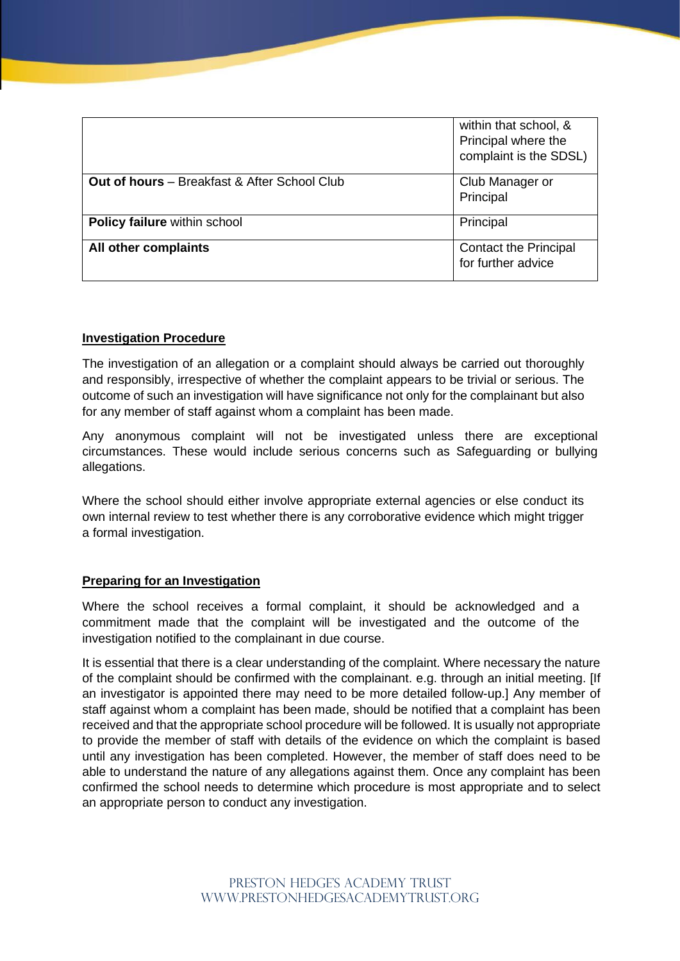|                                                     | within that school, &<br>Principal where the<br>complaint is the SDSL) |
|-----------------------------------------------------|------------------------------------------------------------------------|
| <b>Out of hours</b> - Breakfast & After School Club | Club Manager or<br>Principal                                           |
| <b>Policy failure within school</b>                 | Principal                                                              |
| All other complaints                                | <b>Contact the Principal</b><br>for further advice                     |

## **Investigation Procedure**

The investigation of an allegation or a complaint should always be carried out thoroughly and responsibly, irrespective of whether the complaint appears to be trivial or serious. The outcome of such an investigation will have significance not only for the complainant but also for any member of staff against whom a complaint has been made.

Any anonymous complaint will not be investigated unless there are exceptional circumstances. These would include serious concerns such as Safeguarding or bullying allegations.

Where the school should either involve appropriate external agencies or else conduct its own internal review to test whether there is any corroborative evidence which might trigger a formal investigation.

## **Preparing for an Investigation**

Where the school receives a formal complaint, it should be acknowledged and a commitment made that the complaint will be investigated and the outcome of the investigation notified to the complainant in due course.

It is essential that there is a clear understanding of the complaint. Where necessary the nature of the complaint should be confirmed with the complainant. e.g. through an initial meeting. [If an investigator is appointed there may need to be more detailed follow-up.] Any member of staff against whom a complaint has been made, should be notified that a complaint has been received and that the appropriate school procedure will be followed. It is usually not appropriate to provide the member of staff with details of the evidence on which the complaint is based until any investigation has been completed. However, the member of staff does need to be able to understand the nature of any allegations against them. Once any complaint has been confirmed the school needs to determine which procedure is most appropriate and to select an appropriate person to conduct any investigation.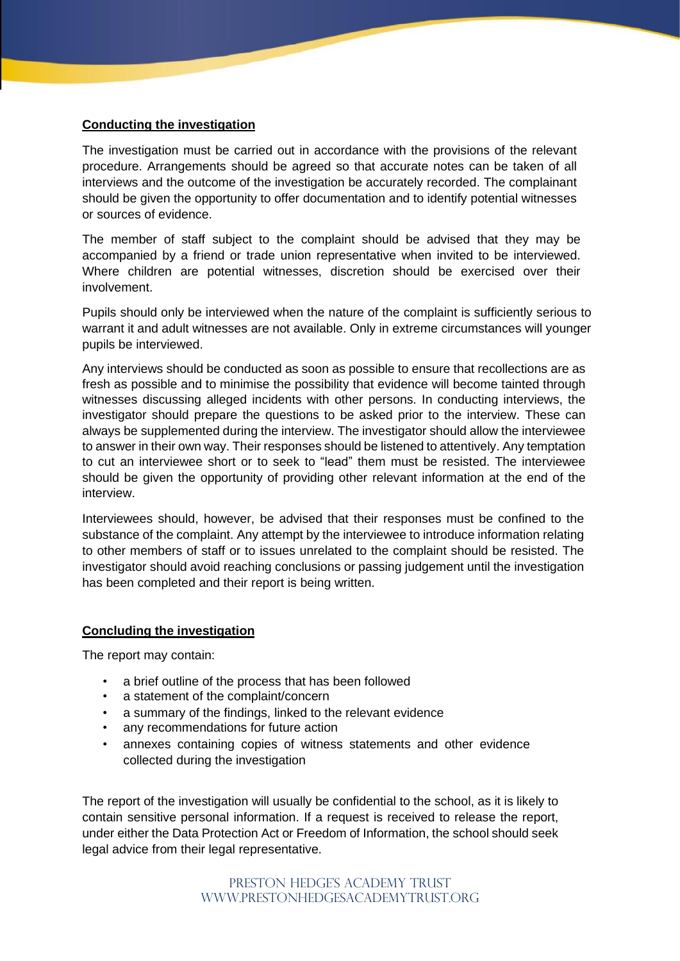# **Conducting the investigation**

The investigation must be carried out in accordance with the provisions of the relevant procedure. Arrangements should be agreed so that accurate notes can be taken of all interviews and the outcome of the investigation be accurately recorded. The complainant should be given the opportunity to offer documentation and to identify potential witnesses or sources of evidence.

The member of staff subject to the complaint should be advised that they may be accompanied by a friend or trade union representative when invited to be interviewed. Where children are potential witnesses, discretion should be exercised over their involvement.

Pupils should only be interviewed when the nature of the complaint is sufficiently serious to warrant it and adult witnesses are not available. Only in extreme circumstances will younger pupils be interviewed.

Any interviews should be conducted as soon as possible to ensure that recollections are as fresh as possible and to minimise the possibility that evidence will become tainted through witnesses discussing alleged incidents with other persons. In conducting interviews, the investigator should prepare the questions to be asked prior to the interview. These can always be supplemented during the interview. The investigator should allow the interviewee to answer in their own way. Their responses should be listened to attentively. Any temptation to cut an interviewee short or to seek to "lead" them must be resisted. The interviewee should be given the opportunity of providing other relevant information at the end of the interview.

Interviewees should, however, be advised that their responses must be confined to the substance of the complaint. Any attempt by the interviewee to introduce information relating to other members of staff or to issues unrelated to the complaint should be resisted. The investigator should avoid reaching conclusions or passing judgement until the investigation has been completed and their report is being written.

## **Concluding the investigation**

The report may contain:

- a brief outline of the process that has been followed
- a statement of the complaint/concern
- a summary of the findings, linked to the relevant evidence
- any recommendations for future action
- annexes containing copies of witness statements and other evidence collected during the investigation

The report of the investigation will usually be confidential to the school, as it is likely to contain sensitive personal information. If a request is received to release the report, under either the Data Protection Act or Freedom of Information, the school should seek legal advice from their legal representative.